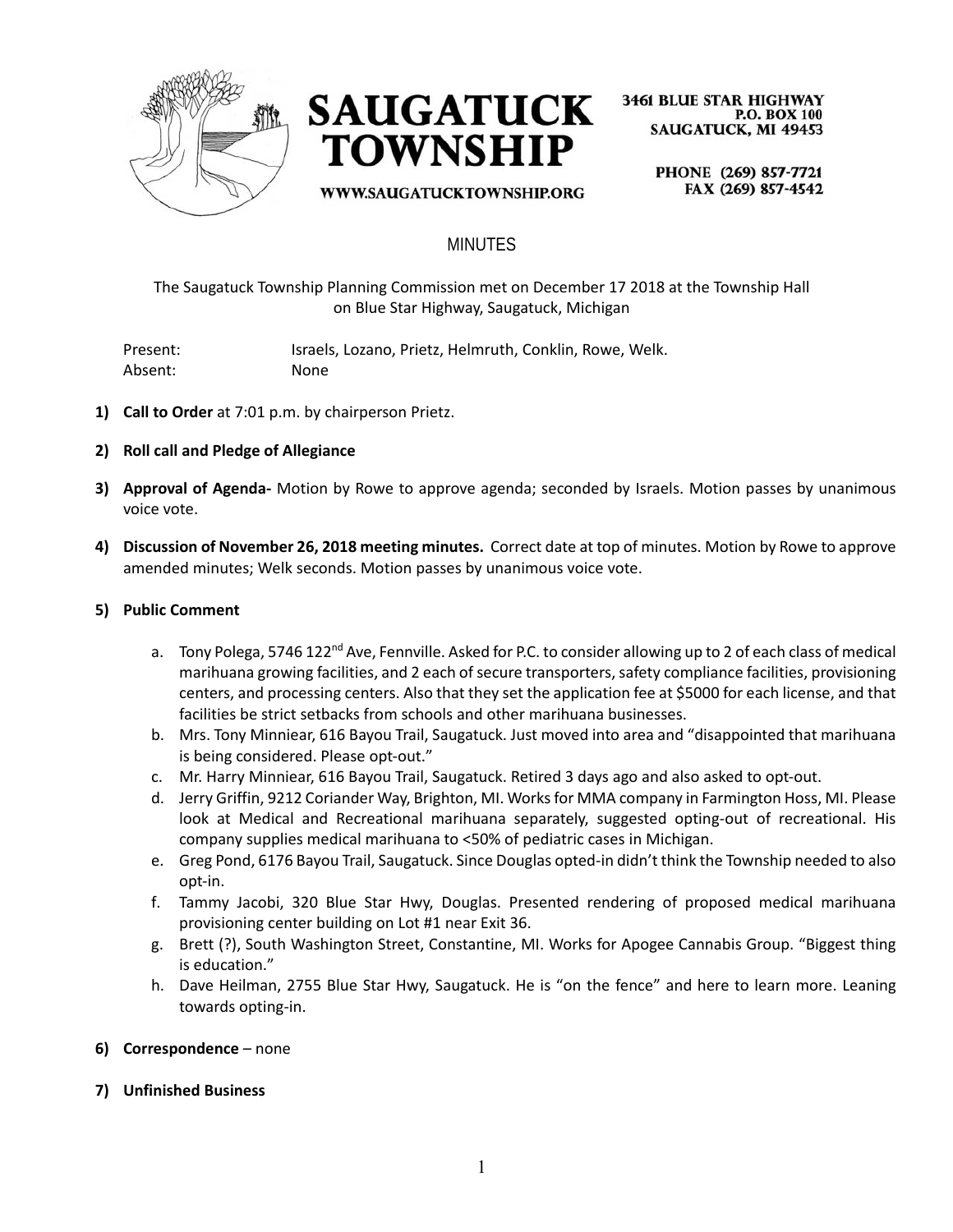



WWW.SAUGATUCKTOWNSHIP.ORG

**3461 BLUE STAR HIGHWAY P.O. BOX 100 SAUGATUCK, MI 49453** 

> PHONE (269) 857-7721 FAX (269) 857-4542

## MINUTES

The Saugatuck Township Planning Commission met on December 17 2018 at the Township Hall on Blue Star Highway, Saugatuck, Michigan

Present: Israels, Lozano, Prietz, Helmruth, Conklin, Rowe, Welk. Absent: None

- **1) Call to Order** at 7:01 p.m. by chairperson Prietz.
- **2) Roll call and Pledge of Allegiance**
- **3) Approval of Agenda-** Motion by Rowe to approve agenda; seconded by Israels. Motion passes by unanimous voice vote.
- **4) Discussion of November 26, 2018 meeting minutes.** Correct date at top of minutes. Motion by Rowe to approve amended minutes; Welk seconds. Motion passes by unanimous voice vote.

#### **5) Public Comment**

- a. Tony Polega, 5746 122<sup>nd</sup> Ave, Fennville. Asked for P.C. to consider allowing up to 2 of each class of medical marihuana growing facilities, and 2 each of secure transporters, safety compliance facilities, provisioning centers, and processing centers. Also that they set the application fee at \$5000 for each license, and that facilities be strict setbacks from schools and other marihuana businesses.
- b. Mrs. Tony Minniear, 616 Bayou Trail, Saugatuck. Just moved into area and "disappointed that marihuana is being considered. Please opt-out."
- c. Mr. Harry Minniear, 616 Bayou Trail, Saugatuck. Retired 3 days ago and also asked to opt-out.
- d. Jerry Griffin, 9212 Coriander Way, Brighton, MI. Works for MMA company in Farmington Hoss, MI. Please look at Medical and Recreational marihuana separately, suggested opting-out of recreational. His company supplies medical marihuana to <50% of pediatric cases in Michigan.
- e. Greg Pond, 6176 Bayou Trail, Saugatuck. Since Douglas opted-in didn't think the Township needed to also opt-in.
- f. Tammy Jacobi, 320 Blue Star Hwy, Douglas. Presented rendering of proposed medical marihuana provisioning center building on Lot #1 near Exit 36.
- g. Brett (?), South Washington Street, Constantine, MI. Works for Apogee Cannabis Group. "Biggest thing is education."
- h. Dave Heilman, 2755 Blue Star Hwy, Saugatuck. He is "on the fence" and here to learn more. Leaning towards opting-in.
- **6) Correspondence** none
- **7) Unfinished Business**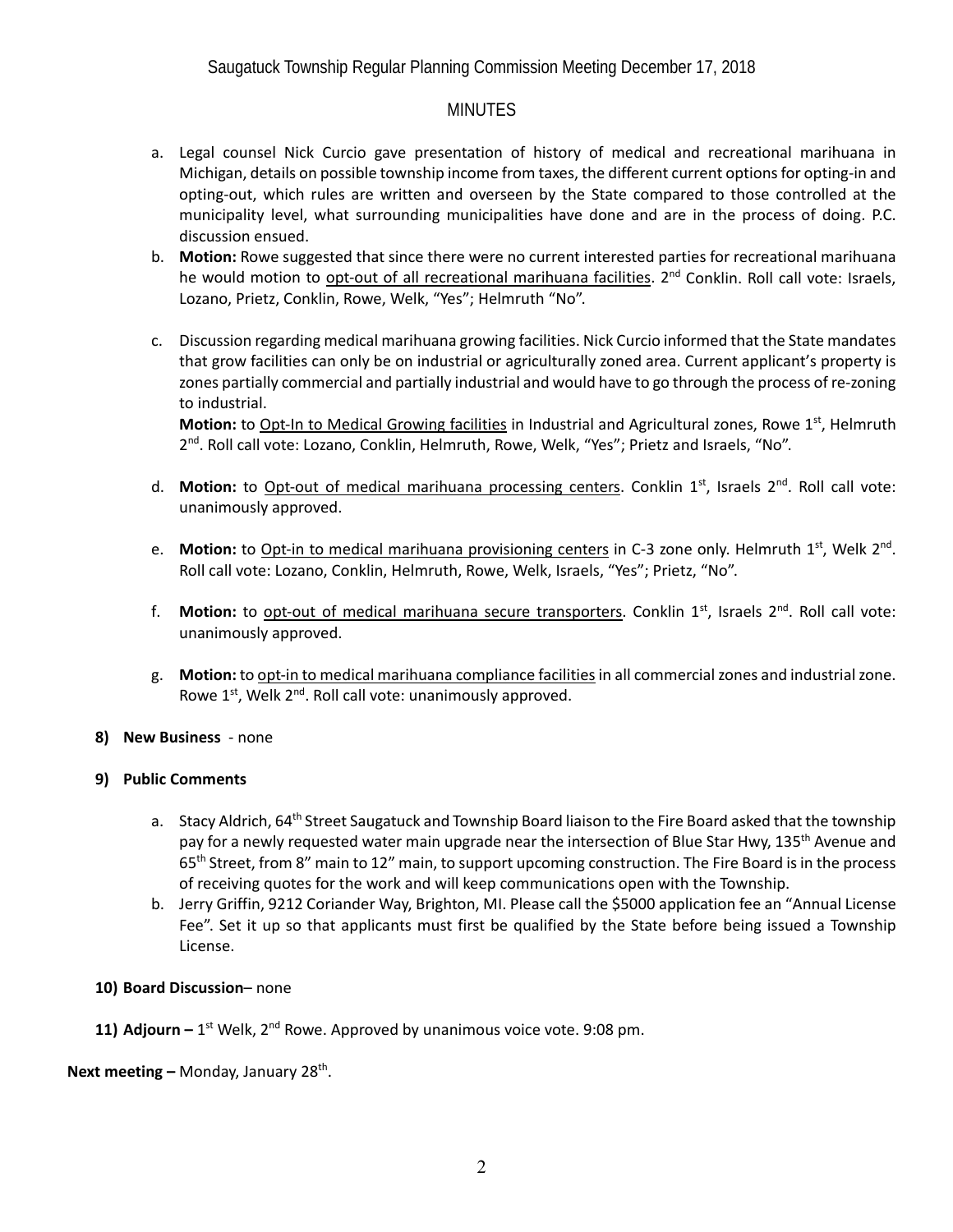### **MINUTES**

- a. Legal counsel Nick Curcio gave presentation of history of medical and recreational marihuana in Michigan, details on possible township income from taxes, the different current options for opting-in and opting-out, which rules are written and overseen by the State compared to those controlled at the municipality level, what surrounding municipalities have done and are in the process of doing. P.C. discussion ensued.
- b. **Motion:** Rowe suggested that since there were no current interested parties for recreational marihuana he would motion to opt-out of all recreational marihuana facilities.  $2<sup>nd</sup>$  Conklin. Roll call vote: Israels, Lozano, Prietz, Conklin, Rowe, Welk, "Yes"; Helmruth "No".
- c. Discussion regarding medical marihuana growing facilities. Nick Curcio informed that the State mandates that grow facilities can only be on industrial or agriculturally zoned area. Current applicant's property is zones partially commercial and partially industrial and would have to go through the process of re-zoning to industrial.

**Motion:** to Opt-In to Medical Growing facilities in Industrial and Agricultural zones, Rowe 1<sup>st</sup>, Helmruth 2<sup>nd</sup>. Roll call vote: Lozano, Conklin, Helmruth, Rowe, Welk, "Yes"; Prietz and Israels, "No".

- d. Motion: to Opt-out of medical marihuana processing centers. Conklin 1<sup>st</sup>, Israels 2<sup>nd</sup>. Roll call vote: unanimously approved.
- e. Motion: to Opt-in to medical marihuana provisioning centers in C-3 zone only. Helmruth 1<sup>st</sup>, Welk 2<sup>nd</sup>. Roll call vote: Lozano, Conklin, Helmruth, Rowe, Welk, Israels, "Yes"; Prietz, "No".
- f. **Motion:** to opt-out of medical marihuana secure transporters. Conklin 1<sup>st</sup>, Israels 2<sup>nd</sup>. Roll call vote: unanimously approved.
- g. **Motion:** to opt-in to medical marihuana compliance facilities in all commercial zones and industrial zone. Rowe  $1^{st}$ , Welk  $2^{nd}$ . Roll call vote: unanimously approved.
- **8) New Business**  none

#### **9) Public Comments**

- a. Stacy Aldrich, 64<sup>th</sup> Street Saugatuck and Township Board liaison to the Fire Board asked that the township pay for a newly requested water main upgrade near the intersection of Blue Star Hwy, 135<sup>th</sup> Avenue and 65<sup>th</sup> Street, from 8" main to 12" main, to support upcoming construction. The Fire Board is in the process of receiving quotes for the work and will keep communications open with the Township.
- b. Jerry Griffin, 9212 Coriander Way, Brighton, MI. Please call the \$5000 application fee an "Annual License Fee". Set it up so that applicants must first be qualified by the State before being issued a Township License.

### **10) Board Discussion**– none

**11) Adjourn**  $-1^{st}$  Welk,  $2^{nd}$  Rowe. Approved by unanimous voice vote. 9:08 pm.

**Next meeting – Monday, January 28<sup>th</sup>.**